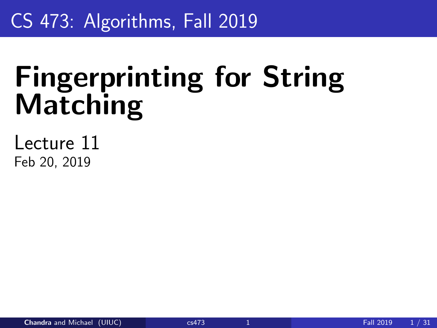# <span id="page-0-0"></span>CS 473: Algorithms, Fall 2019

# Fingerprinting for String Matching

Lecture 11 Feb 20, 2019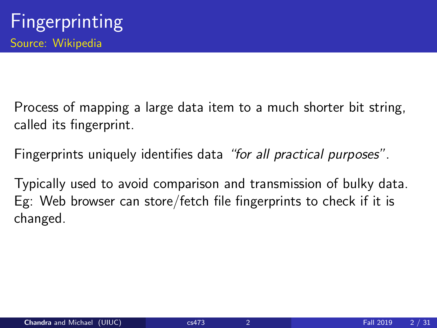Process of mapping a large data item to a much shorter bit string, called its fingerprint.

Fingerprints uniquely identifies data "for all practical purposes".

Typically used to avoid comparison and transmission of bulky data. Eg: Web browser can store/fetch file fingerprints to check if it is changed.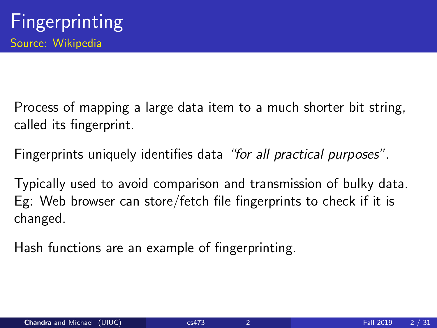Process of mapping a large data item to a much shorter bit string, called its fingerprint.

Fingerprints uniquely identifies data "for all practical purposes".

Typically used to avoid comparison and transmission of bulky data. Eg: Web browser can store/fetch file fingerprints to check if it is changed.

Hash functions are an example of fingerprinting.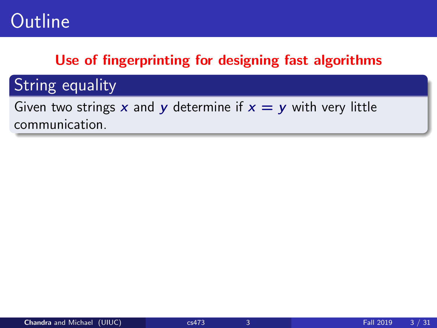## Use of fingerprinting for designing fast algorithms

## **String equality**

Given two strings x and y determine if  $x = y$  with very little communication.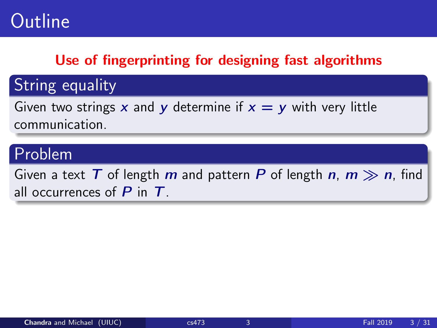## Use of fingerprinting for designing fast algorithms

String equality

Given two strings x and y determine if  $x = y$  with very little communication.

## Problem

Given a text T of length m and pattern P of length  $n, m \gg n$ , find all occurrences of  $P$  in  $T$ .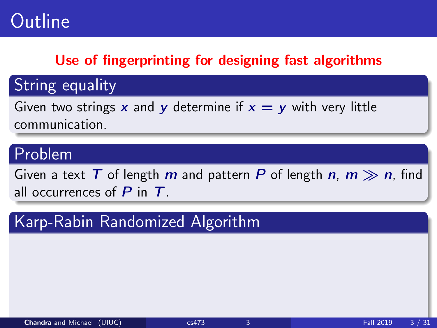## Use of fingerprinting for designing fast algorithms

String equality

Given two strings x and y determine if  $x = y$  with very little communication.

## Problem

Given a text T of length m and pattern P of length  $n, m \gg n$ , find all occurrences of  $P$  in  $T$ .

## Karp-Rabin Randomized Algorithm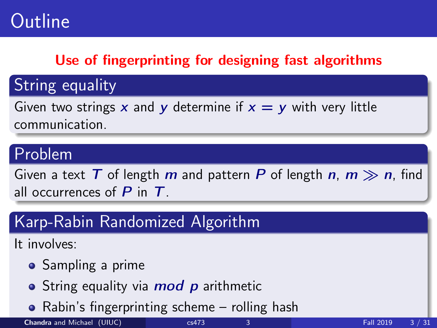## Use of fingerprinting for designing fast algorithms

String equality

Given two strings x and y determine if  $x = y$  with very little communication.

## Problem

Given a text T of length m and pattern P of length  $n, m \gg n$ , find all occurrences of  $P$  in  $T$ .

## Karp-Rabin Randomized Algorithm

It involves:

- Sampling a prime
- String equality via *mod p* arithmetic
- Rabin's fingerprinting scheme rolling hash

**Chandra** and Michael (UIUC) [cs473](#page-0-0) 3 Fall 2019 3 / 31 Fall 2019 3 / 31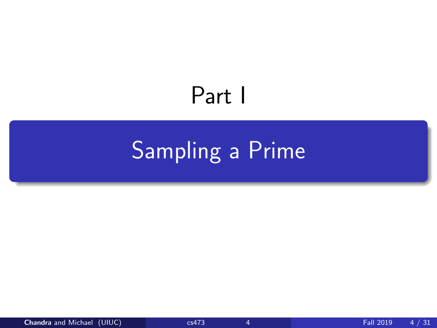# Part I

# <span id="page-7-0"></span>[Sampling a Prime](#page-7-0)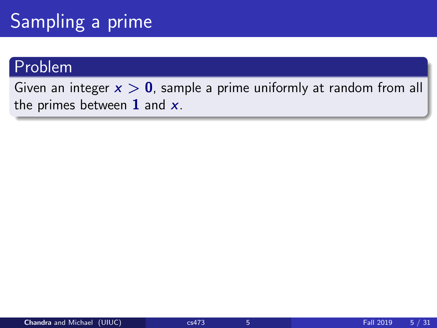# Sampling a prime

#### Problem

Given an integer  $x > 0$ , sample a prime uniformly at random from all the primes between  $1$  and  $x$ .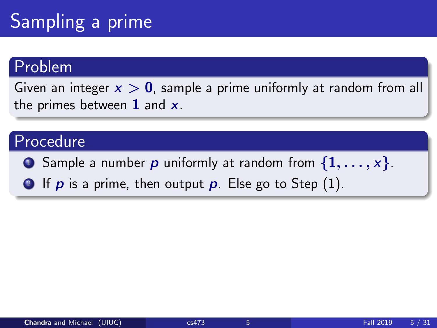# Sampling a prime

#### Problem

Given an integer  $x > 0$ , sample a prime uniformly at random from all the primes between  $1$  and  $x$ .

### Procedure

- **3** Sample a number p uniformly at random from  $\{1, \ldots, x\}$ .
- **2** If p is a prime, then output p. Else go to Step  $(1)$ .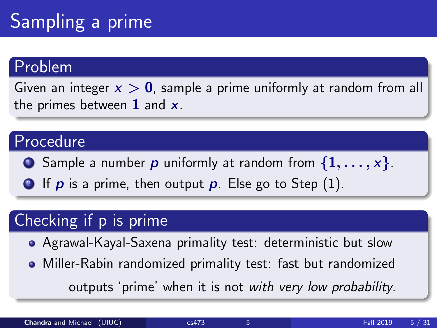# Sampling a prime

#### Problem

Given an integer  $x > 0$ , sample a prime uniformly at random from all the primes between  $1$  and  $x$ .

### Procedure

**3** Sample a number p uniformly at random from  $\{1, \ldots, x\}$ .

**2** If p is a prime, then output p. Else go to Step  $(1)$ .

## Checking if p is prime

- Agrawal-Kayal-Saxena primality test: deterministic but slow
- Miller-Rabin randomized primality test: fast but randomized

outputs 'prime' when it is not with very low probability.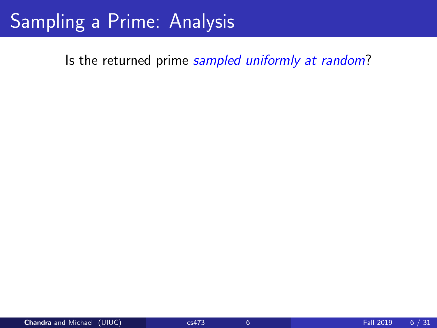# Sampling a Prime: Analysis

Is the returned prime sampled uniformly at random?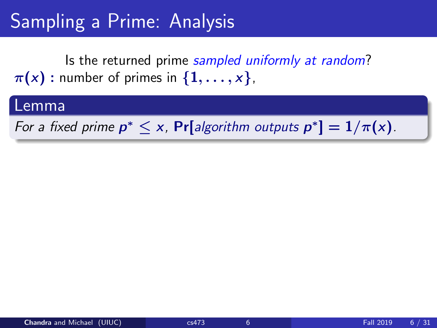# Sampling a Prime: Analysis

Is the returned prime sampled uniformly at random?  $\pi(x)$ : number of primes in  $\{1,\ldots,x\}$ ,

#### Lemma

For a fixed prime  $p^* \leq x$ , Pr[algorithm outputs  $p^*$ ] =  $1/\pi(x)$ .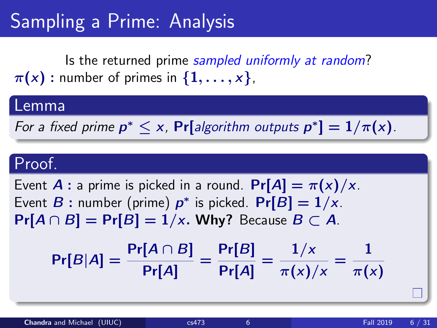# Sampling a Prime: Analysis

Is the returned prime sampled uniformly at random?  $\pi(x)$ : number of primes in  $\{1,\ldots,x\}$ ,

#### Lemma

For a fixed prime  $p^* \leq x$ , Pr[algorithm outputs  $p^*$ ] =  $1/\pi(x)$ .

#### Proof.

Event **A** : a prime is picked in a round.  $Pr[A] = \pi(x)/x$ . Event  $B$  : number (prime)  $p^*$  is picked.  $Pr[B] = 1/x$ .  $Pr[A \cap B] = Pr[B] = 1/x$ . Why? Because  $B \subset A$ .

$$
Pr[B|A] = \frac{Pr[A \cap B]}{Pr[A]} = \frac{Pr[B]}{Pr[A]} = \frac{1/x}{\pi(x)/x} = \frac{1}{\pi(x)/x}
$$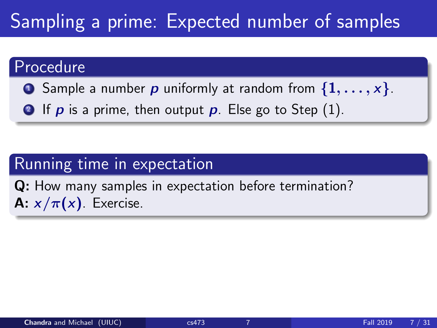# Sampling a prime: Expected number of samples

#### Procedure

- **E** Sample a number **p** uniformly at random from  $\{1, \ldots, x\}$ .
- **2** If p is a prime, then output p. Else go to Step  $(1)$ .

#### Running time in expectation

Q: How many samples in expectation before termination? **A:**  $x/\pi(x)$ . Exercise.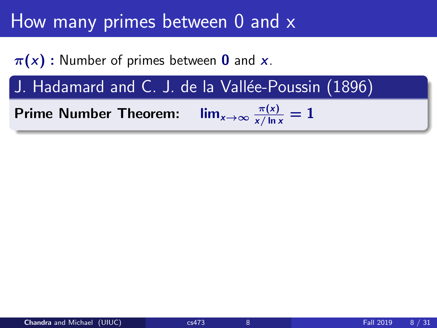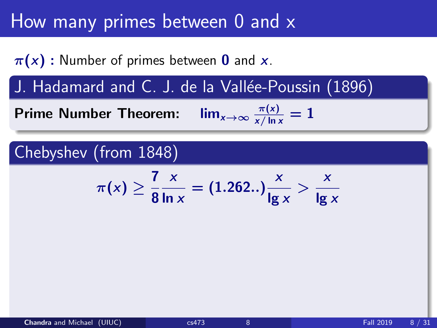$\pi(x)$ : Number of primes between 0 and x.

J. Hadamard and C. J. de la Vallée-Poussin (1896)

Prime Number Theorem:  $\frac{\pi(x)}{x/\ln x} = 1$ 

#### Chebyshev (from 1848)

$$
\pi(x) \ge \frac{7}{8} \frac{x}{\ln x} = (1.262..) \frac{x}{\lg x} > \frac{x}{\lg x}
$$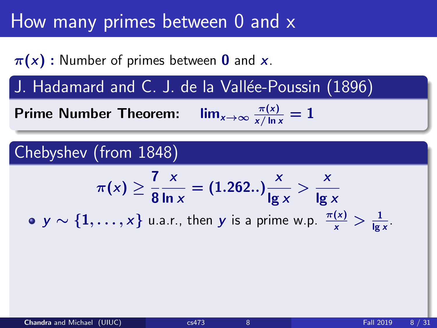$\pi(x)$ : Number of primes between 0 and x.

J. Hadamard and C. J. de la Vallée-Poussin (1896)

Prime Number Theorem:  $\frac{\pi(x)}{x/\ln x} = 1$ 

#### Chebyshev (from 1848)

$$
\pi(x) \ge \frac{7}{8} \frac{x}{\ln x} = (1.262..) \frac{x}{\ln x} > \frac{x}{\ln x}
$$

 $y \sim \{1, \ldots, x\}$  u.a.r., then  $y$  is a prime w.p.  $\frac{\pi(x)}{x} > \frac{1}{\lg x}$ .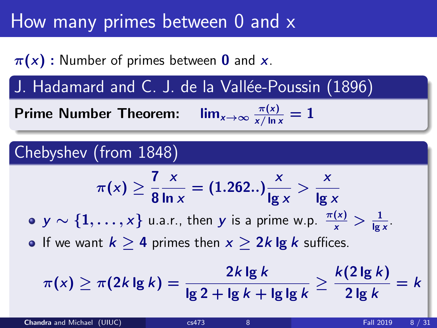$\pi(x)$ : Number of primes between 0 and x.

J. Hadamard and C. J. de la Vallée-Poussin (1896)

Prime Number Theorem:  $\lim_{x\to\infty} \frac{\pi(x)}{x/\ln x} = 1$ 

## Chebyshev (from 1848)

$$
\pi(x) \ge \frac{7}{8} \frac{x}{\ln x} = (1.262..) \frac{x}{\lg x} > \frac{x}{\lg x}
$$

 $y \sim \{1, \ldots, x\}$  u.a.r., then  $y$  is a prime w.p.  $\frac{\pi(x)}{x} > \frac{1}{\lg x}$ .

• If we want  $k > 4$  primes then  $x > 2k \lg k$  suffices.

$$
\pi(x) \geq \pi(2k \lg k) = \frac{2k \lg k}{\lg 2 + \lg k + \lg \lg k} \geq \frac{k(2 \lg k)}{2 \lg k} = k
$$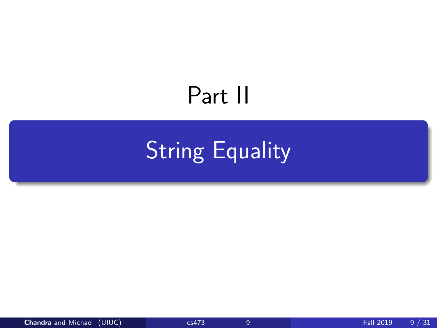# Part II

# <span id="page-19-0"></span>[String Equality](#page-19-0)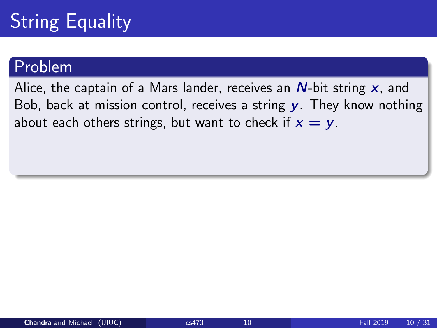#### Problem

Alice, the captain of a Mars lander, receives an  $N$ -bit string  $x$ , and Bob, back at mission control, receives a string  $v$ . They know nothing about each others strings, but want to check if  $x = y$ .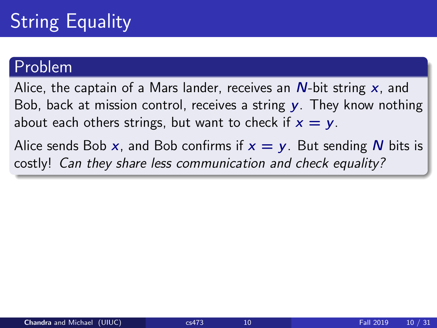#### Problem

Alice, the captain of a Mars lander, receives an  $N$ -bit string  $x$ , and Bob, back at mission control, receives a string  $\gamma$ . They know nothing about each others strings, but want to check if  $x = y$ . Alice sends Bob x, and Bob confirms if  $x = y$ . But sending N bits is

costly! Can they share less communication and check equality?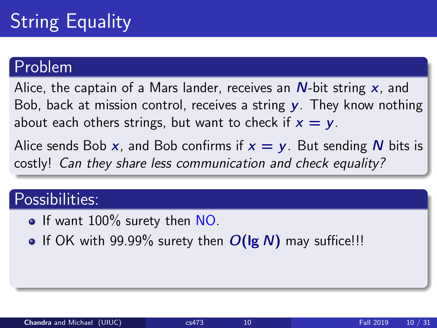#### Problem

Alice, the captain of a Mars lander, receives an  $N$ -bit string  $x$ , and Bob, back at mission control, receives a string  $v$ . They know nothing about each others strings, but want to check if  $x = y$ .

Alice sends Bob x, and Bob confirms if  $x = y$ . But sending N bits is costly! Can they share less communication and check equality?

## Possibilities:

- If want 100% surety then NO.
- **•** If OK with 99.99% surety then  $O(\lg N)$  may suffice!!!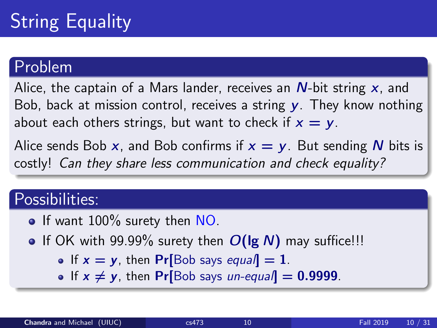#### Problem

Alice, the captain of a Mars lander, receives an  $N$ -bit string  $x$ , and Bob, back at mission control, receives a string  $\gamma$ . They know nothing about each others strings, but want to check if  $x = y$ .

Alice sends Bob x, and Bob confirms if  $x = y$ . But sending N bits is costly! Can they share less communication and check equality?

## Possibilities:

- If want 100% surety then NO.
- **•** If OK with 99.99% surety then  $O(\lg N)$  may suffice!!!
	- If  $x = y$ , then Pr[Bob says equal] = 1.
	- If  $x \neq y$ , then Pr[Bob says un-equal] = 0.9999.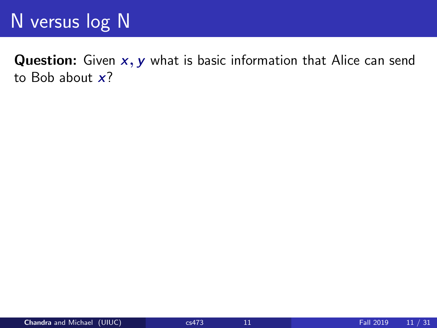**Question:** Given  $x, y$  what is basic information that Alice can send to Bob about  $x$ ?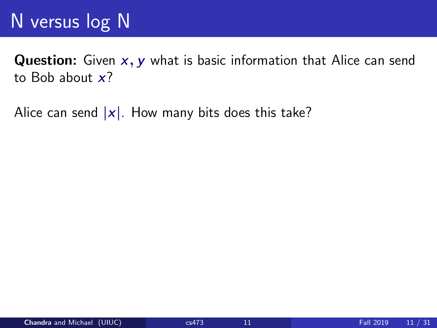**Question:** Given  $x, y$  what is basic information that Alice can send to Bob about  $x$ ?

Alice can send  $|x|$ . How many bits does this take?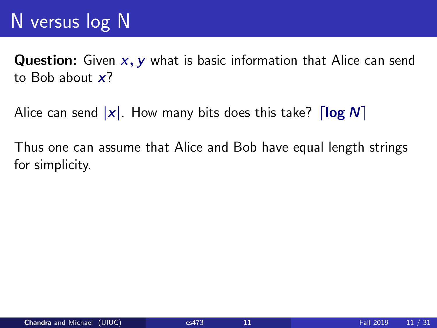**Question:** Given  $x$ ,  $y$  what is basic information that Alice can send to Bob about  $x$ ?

Alice can send  $|x|$ . How many bits does this take?  $\lceil \log N \rceil$ 

Thus one can assume that Alice and Bob have equal length strings for simplicity.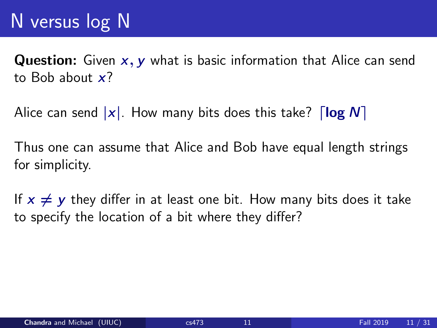**Question:** Given  $x$ ,  $y$  what is basic information that Alice can send to Bob about  $x$ ?

Alice can send  $|x|$ . How many bits does this take?  $\lceil \log N \rceil$ 

Thus one can assume that Alice and Bob have equal length strings for simplicity.

If  $x \neq y$  they differ in at least one bit. How many bits does it take to specify the location of a bit where they differ?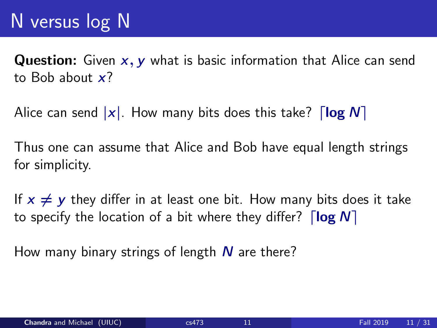**Question:** Given  $x$ ,  $y$  what is basic information that Alice can send to Bob about  $x$ ?

Alice can send  $|x|$ . How many bits does this take?  $\lceil \log N \rceil$ 

Thus one can assume that Alice and Bob have equal length strings for simplicity.

If  $x \neq y$  they differ in at least one bit. How many bits does it take to specify the location of a bit where they differ?  $\lceil \log N \rceil$ 

How many binary strings of length  $N$  are there?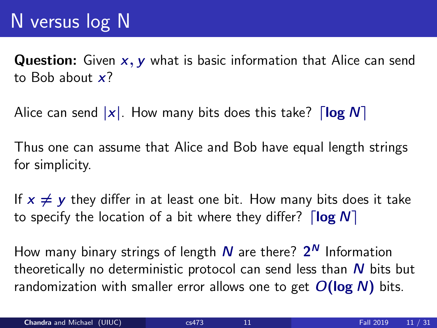**Question:** Given  $x, y$  what is basic information that Alice can send to Bob about  $x$ ?

Alice can send  $|x|$ . How many bits does this take?  $\lceil \log N \rceil$ 

Thus one can assume that Alice and Bob have equal length strings for simplicity.

If  $x \neq y$  they differ in at least one bit. How many bits does it take to specify the location of a bit where they differ?  $\lceil \log N \rceil$ 

How many binary strings of length  $\boldsymbol{N}$  are there?  $\boldsymbol{2^N}$  Information theoretically no deterministic protocol can send less than  $N$  bits but randomization with smaller error allows one to get  $O(\log N)$  bits.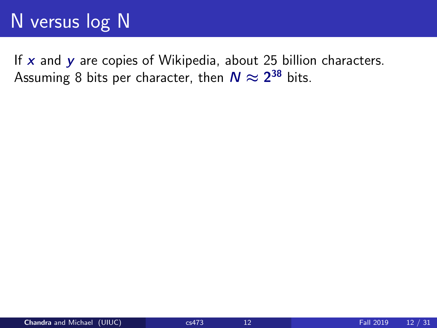If  $x$  and  $y$  are copies of Wikipedia, about 25 billion characters. Assuming 8 bits per character, then  $\mathcal{N}\approx 2^{38}$  bits.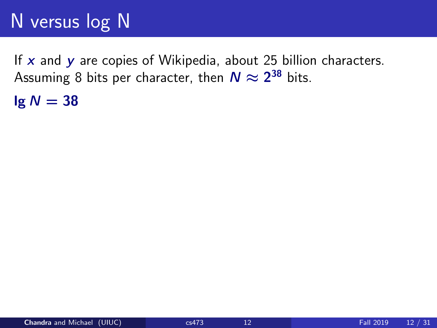If  $x$  and  $y$  are copies of Wikipedia, about 25 billion characters. Assuming 8 bits per character, then  $\mathcal{N}\approx 2^{38}$  bits.

 $lg N = 38$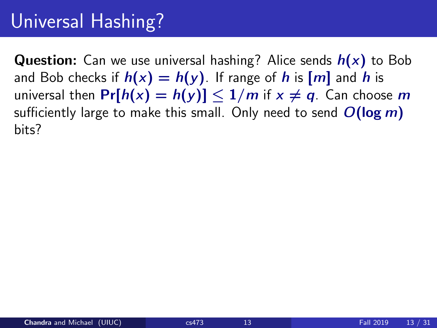# Universal Hashing?

**Question:** Can we use universal hashing? Alice sends  $h(x)$  to Bob and Bob checks if  $h(x) = h(y)$ . If range of h is  $[m]$  and h is universal then  $Pr[h(x) = h(y)] \le 1/m$  if  $x \neq q$ . Can choose m sufficiently large to make this small. Only need to send  $O(\log m)$ bits?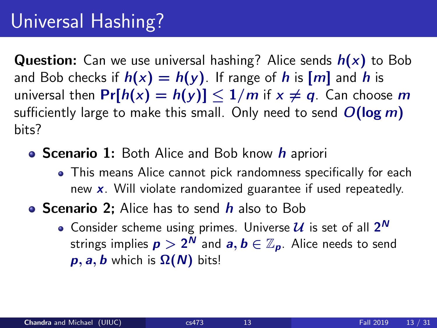# Universal Hashing?

**Question:** Can we use universal hashing? Alice sends  $h(x)$  to Bob and Bob checks if  $h(x) = h(y)$ . If range of h is  $[m]$  and h is universal then  $Pr[h(x) = h(y)] \le 1/m$  if  $x \neq q$ . Can choose m sufficiently large to make this small. Only need to send  $O(\log m)$ bits?

- **Scenario 1:** Both Alice and Bob know h apriori
	- This means Alice cannot pick randomness specifically for each new  $x$ . Will violate randomized guarantee if used repeatedly.
- **Scenario 2:** Alice has to send  $h$  also to Bob
	- Consider scheme using primes. Universe  $\boldsymbol{\mathcal{U}}$  is set of all  $\boldsymbol{2^N}$ strings implies  $\bm{p} > 2^\textit{N}$  and  $\bm{a}, \bm{b} \in \mathbb{Z}_{\bm{p}}$ . Alice needs to send  $p, a, b$  which is  $\Omega(N)$  bits!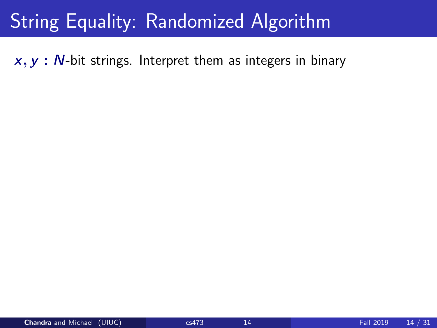# String Equality: Randomized Algorithm

 $x, y$  :  $N$ -bit strings. Interpret them as integers in binary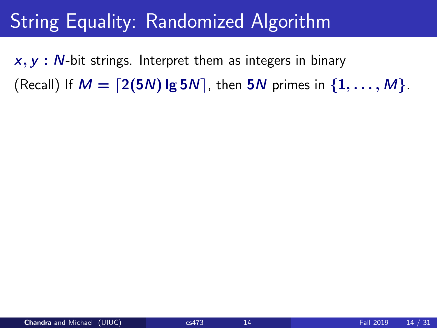# String Equality: Randomized Algorithm

 $x, y$  :  $N$ -bit strings. Interpret them as integers in binary (Recall) If  $M = \lfloor 2(5N) \lg 5N \rfloor$ , then  $5N$  primes in  $\{1, \ldots, M\}$ .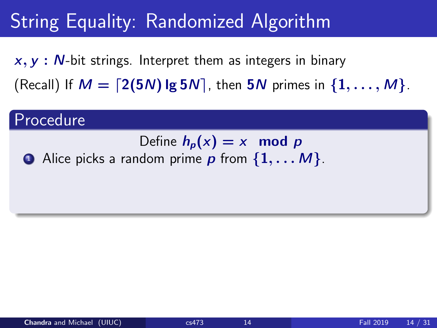$x, y$ :  $N$ -bit strings. Interpret them as integers in binary (Recall) If  $M = \lfloor 2(5N) \lg 5N \rfloor$ , then  $5N$  primes in  $\{1, \ldots, M\}$ .

#### Procedure

- Define  $h_p(x) = x \mod p$
- $\bullet$  Alice picks a random prime p from  $\{1, \ldots M\}$ .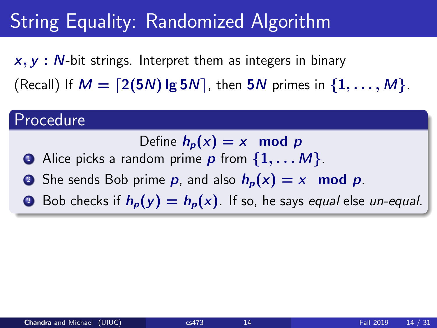$x, y$ :  $N$ -bit strings. Interpret them as integers in binary (Recall) If  $M = \lfloor 2(5N) \lg 5N \rfloor$ , then  $5N$  primes in  $\{1, \ldots, M\}$ .

#### Procedure

Define  $h_n(x) = x \mod p$ 

- $\bullet$  Alice picks a random prime p from  $\{1, \ldots M\}$ .
- **2** She sends Bob prime p, and also  $h_p(x) = x$  mod p.
- **3** Bob checks if  $h_p(y) = h_p(x)$ . If so, he says equal else un-equal.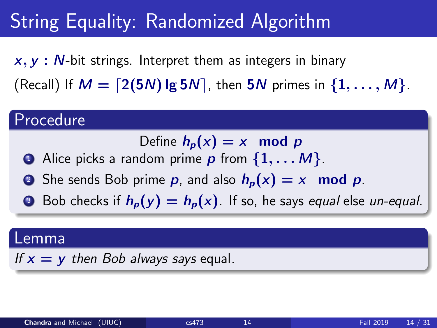$x, y$ :  $N$ -bit strings. Interpret them as integers in binary (Recall) If  $M = \lfloor 2(5N) \lg 5N \rfloor$ , then  $5N$  primes in  $\{1, \ldots, M\}$ .

#### Procedure

Define  $h_n(x) = x \mod p$ 

- $\bullet$  Alice picks a random prime p from  $\{1, \ldots M\}$ .
- **2** She sends Bob prime p, and also  $h_p(x) = x$  mod p.
- **3** Bob checks if  $h_p(y) = h_p(x)$ . If so, he says equal else un-equal.

#### Lemma

If  $x = y$  then Bob always says equal.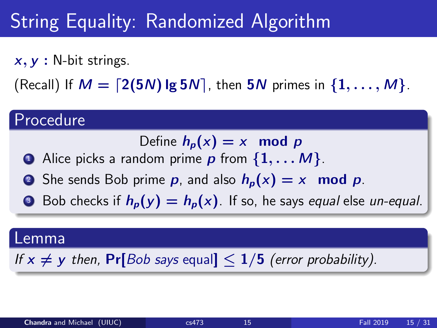$x, y$ : N-bit strings.

(Recall) If  $M = \lfloor 2(5N) \lg 5N \rfloor$ , then  $5N$  primes in  $\{1, \ldots, M\}$ .

#### Procedure

Define  $h_n(x) = x \mod p$ 

- $\bullet$  Alice picks a random prime p from  $\{1, \ldots M\}$ .
- **2** She sends Bob prime **p**, and also  $h_p(x) = x$  mod **p**.
- **3** Bob checks if  $h_p(y) = h_p(x)$ . If so, he says equal else un-equal.

#### Lemma

If  $x \neq y$  then, Pr[Bob says equal]  $\leq 1/5$  (error probability).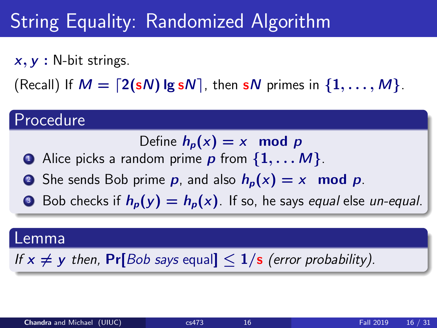$x, y$ : N-bit strings.

(Recall) If  $M = \lfloor 2(sN) \lg sN \rfloor$ , then sN primes in  $\{1, \ldots, M\}$ .

#### Procedure

Define  $h_n(x) = x \mod p$ 

- $\bullet$  Alice picks a random prime p from  $\{1, \ldots M\}$ .
- **2** She sends Bob prime **p**, and also  $h_p(x) = x$  mod **p**.
- **3** Bob checks if  $h_p(y) = h_p(x)$ . If so, he says equal else un-equal.

#### Lemma

If  $x \neq y$  then, Pr[Bob says equal]  $\leq 1/s$  (error probability).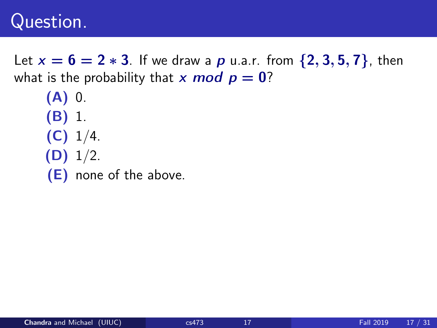### Question.

Let  $x = 6 = 2 * 3$ . If we draw a p u.a.r. from  $\{2, 3, 5, 7\}$ , then what is the probability that x mod  $p = 0$ ?

 $(A)$  0. (B) 1.  $(C)$  1/4.  $(D)$  1/2. (E) none of the above.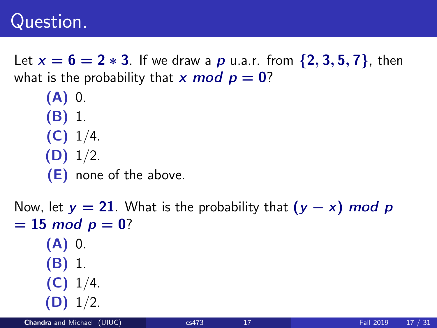### Question.

Let  $x = 6 = 2 * 3$ . If we draw a p u.a.r. from  $\{2, 3, 5, 7\}$ , then what is the probability that x mod  $p = 0$ ?

(A) 0. (B) 1.  $(C)$  1/4.  $(D)$  1/2. (E) none of the above.

```
Now, let y = 21. What is the probability that (y - x) mod p
= 15 \mod p = 0?
     (A) 0.
     (B) 1.
     (C) 1/4.
    (D) 1/2.
```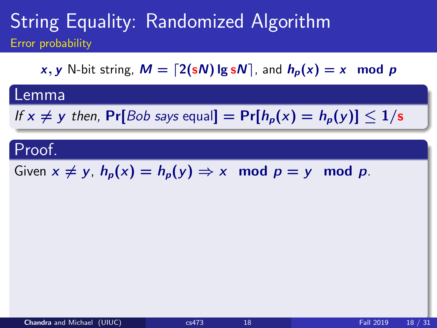x, y N-bit string,  $M = \lfloor 2(sN) \lg sN \rfloor$ , and  $h_p(x) = x \mod p$ 

#### Lemma

If  $x \neq y$  then, Pr[Bob says equal] = Pr[ $h_p(x) = h_p(y)$ ]  $\leq 1/s$ 

#### Proof.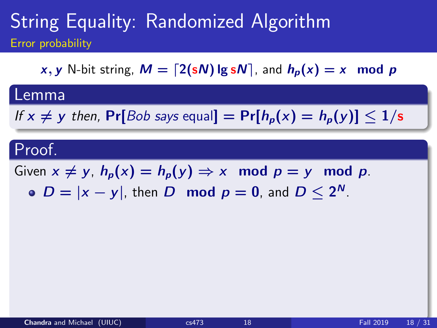x, y N-bit string,  $M = \lfloor 2(sN) \lg sN \rfloor$ , and  $h_p(x) = x \mod p$ 

#### Lemma

If  $x \neq y$  then, Pr[Bob says equal] = Pr[ $h_p(x) = h_p(y)$ ]  $\leq 1/s$ 

#### Proof.

Given  $x \neq y$ ,  $h_p(x) = h_p(y) \Rightarrow x \mod p = y \mod p$ .  $D = |x - y|$ , then D mod  $p = 0$ , and  $D \le 2^N$ .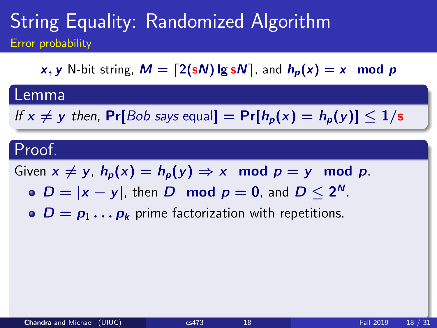x, y N-bit string,  $M = \lfloor 2(sN) \lg sN \rfloor$ , and  $h_p(x) = x \mod p$ 

#### Lemma

If  $x \neq y$  then, Pr[Bob says equal] = Pr[ $h_p(x) = h_p(y)$ ]  $\leq 1/s$ 

#### Proof.

- $D = |x y|$ , then D mod  $p = 0$ , and  $D \le 2^N$ .
- $D = p_1 \dots p_k$  prime factorization with repetitions.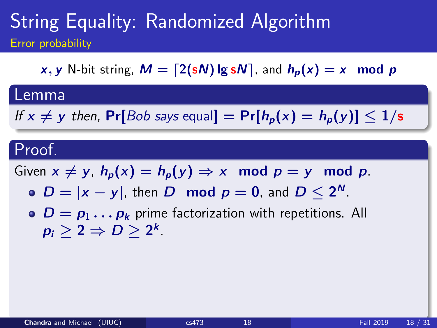x, y N-bit string,  $M = \lfloor 2(sN) \lg sN \rfloor$ , and  $h_p(x) = x \mod p$ 

#### Lemma

If  $x \neq y$  then, Pr[Bob says equal] = Pr[ $h_p(x) = h_p(y)$ ]  $\leq 1/s$ 

#### Proof.

- $D = |x y|$ , then D mod  $p = 0$ , and  $D \le 2^N$ .
- $\bullet$   $D = p_1 \dots p_k$  prime factorization with repetitions. All  $p_i\geq 2 \Rightarrow D\geq 2^k.$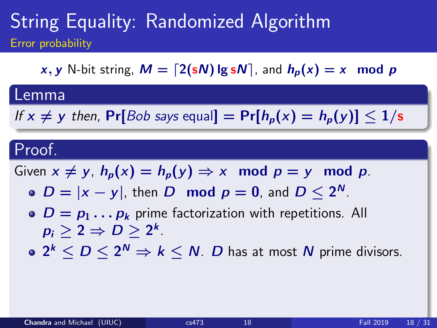x, y N-bit string,  $M = \lfloor 2(sN) \lg sN \rfloor$ , and  $h_p(x) = x \mod p$ 

#### Lemma

If  $x \neq y$  then, Pr[Bob says equal] = Pr[ $h_p(x) = h_p(y)$ ]  $\leq 1/s$ 

#### Proof.

- $D = |x y|$ , then D mod  $p = 0$ , and  $D \le 2^N$ .
- $\bullet$   $D = p_1 \dots p_k$  prime factorization with repetitions. All  $p_i\geq 2 \Rightarrow D\geq 2^k.$
- $2^k \leq D \leq 2^N \Rightarrow k \leq N$ .  $D$  has at most  $N$  prime divisors.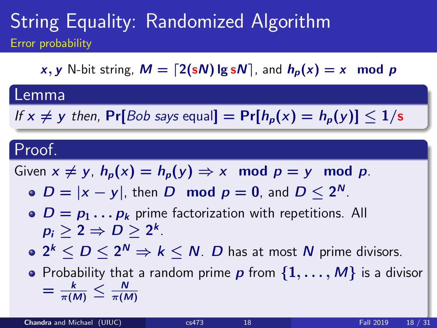x, y N-bit string,  $M = \lfloor 2(sN) \lg sN \rfloor$ , and  $h_p(x) = x \mod p$ 

#### Lemma

If  $x \neq y$  then, Pr[Bob says equal] = Pr[ $h_p(x) = h_p(y)$ ]  $\leq 1/s$ 

#### Proof.

Given  $x \neq y$ ,  $h_p(x) = h_p(y) \Rightarrow x \mod p = y \mod p$ .

- $D = |x y|$ , then D mod  $p = 0$ , and  $D \le 2^N$ .
- $\bullet$   $D = p_1 \dots p_k$  prime factorization with repetitions. All  $p_i\geq 2 \Rightarrow D\geq 2^k.$
- $2^k \leq D \leq 2^N \Rightarrow k \leq N$ .  $D$  has at most  $N$  prime divisors.

• Probability that a random prime  $p$  from  $\{1, \ldots, M\}$  is a divisor  $= \frac{k}{\pi(M)} \leq \frac{N}{\pi(M)}$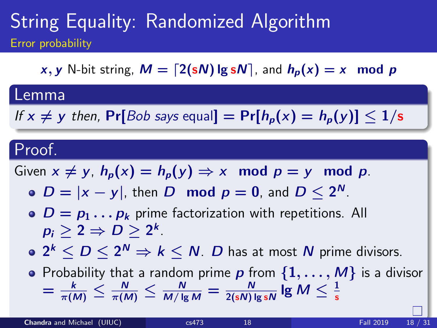x, y N-bit string,  $M = \lfloor 2(sN) \lg sN \rfloor$ , and  $h_p(x) = x \mod p$ 

#### Lemma

If  $x \neq y$  then, Pr[Bob says equal] = Pr[ $h_p(x) = h_p(y)$ ]  $\leq 1/s$ 

#### Proof.

Given  $x \neq y$ ,  $h_p(x) = h_p(y) \Rightarrow x \mod p = y \mod p$ .

- $D = |x y|$ , then D mod  $p = 0$ , and  $D \le 2^N$ .
- $\bullet$   $D = p_1 \dots p_k$  prime factorization with repetitions. All  $p_i\geq 2 \Rightarrow D\geq 2^k.$
- $2^k \leq D \leq 2^N \Rightarrow k \leq N$ .  $D$  has at most  $N$  prime divisors.

• Probability that a random prime p from  $\{1,\ldots,M\}$  is a divisor  $=\frac{k}{\pi(M)}\leq\frac{N}{\pi(M)}\leq\frac{N}{M/\lg M}=\frac{N}{2({\mathsf{s}} N)\lg {\mathsf{s}} N}$  lg  $M\leq\frac{1}{\mathsf{s}}$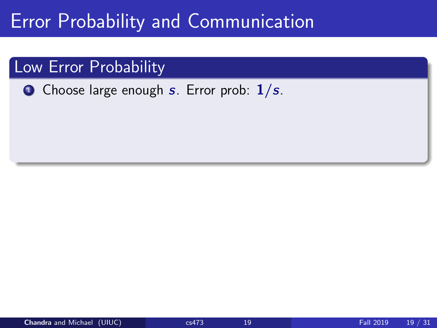#### Low Error Probability

**1** Choose large enough s. Error prob:  $1/s$ .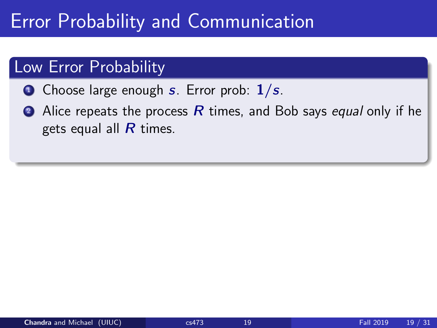#### Low Error Probability

- **1** Choose large enough s. Error prob:  $1/s$ .
- Alice repeats the process R times, and Bob says equal only if he gets equal all  *times.*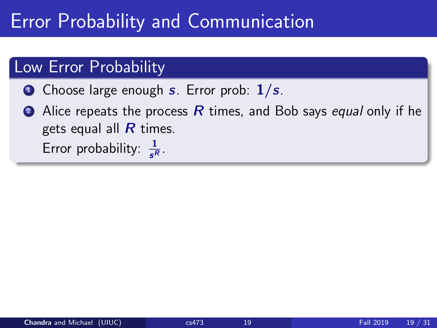#### Low Error Probability

- $\bullet$  Choose large enough s. Error prob:  $1/s$ .
- Alice repeats the process R times, and Bob says equal only if he gets equal all  *times.* Error probability:  $\frac{1}{s^R}$ .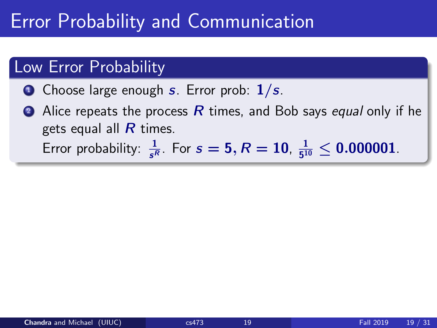#### Low Error Probability

- **O** Choose large enough s. Error prob:  $1/s$ .
- Alice repeats the process  $R$  times, and Bob says equal only if he gets equal all  $\overline{R}$  times. Error probability:  $\frac{1}{s^R}$ . For  $s = 5, R = 10, \frac{1}{5^1}$  $\frac{1}{5^{10}} \leq 0.000001$  .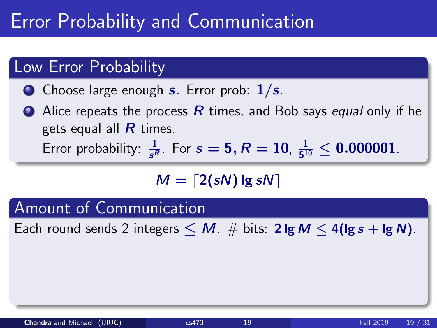#### Low Error Probability

- **O** Choose large enough s. Error prob:  $1/s$ .
- Alice repeats the process  $R$  times, and Bob says equal only if he gets equal all  $\overline{R}$  times. Error probability:  $\frac{1}{s^R}$ . For  $s = 5, R = 10, \frac{1}{5^1}$  $\frac{1}{5^{10}} \leq 0.000001$  .

$$
M = \lceil 2(sN) \lg sN \rceil
$$

Amount of Communication

Each round sends 2 integers  $\leq M$ .  $\#$  bits: 2 lg  $M \leq 4$  (lg s + lg N).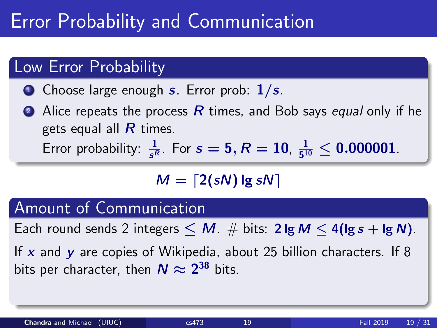#### Low Error Probability

- **O** Choose large enough s. Error prob:  $1/s$ .
- Alice repeats the process  $R$  times, and Bob says equal only if he gets equal all  *times.* Error probability:  $\frac{1}{s^R}$ . For  $s = 5, R = 10, \frac{1}{5^1}$  $\frac{1}{5^{10}} \leq 0.000001$  .

$$
M = \lceil 2(sN) \lg sN \rceil
$$

### Amount of Communication

Each round sends 2 integers  $\leq M$ .  $\#$  bits: 2 lg  $M \leq 4$  (lg s + lg N).

If x and y are copies of Wikipedia, about 25 billion characters. If 8 bits per character, then  $N\approx 2^{38}$  bits.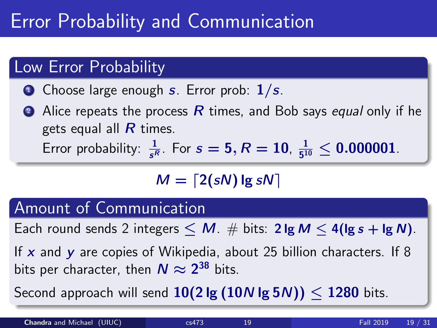#### Low Error Probability

- $\bullet$  Choose large enough s. Error prob:  $1/s$ .
- Alice repeats the process  $R$  times, and Bob says equal only if he gets equal all  *times.* Error probability:  $\frac{1}{s^R}$ . For  $s = 5, R = 10, \frac{1}{5^1}$  $\frac{1}{5^{10}} \leq 0.000001$  .

$$
M = \lceil 2(sN) \lg sN \rceil
$$

### Amount of Communication

Each round sends 2 integers  $\leq M$ .  $\#$  bits: 2 lg  $M \leq 4$  (lg s + lg N).

If x and y are copies of Wikipedia, about 25 billion characters. If 8 bits per character, then  $N\approx 2^{38}$  bits.

Second approach will send  $10(2 \lg (10N \lg 5N)) < 1280$  bits.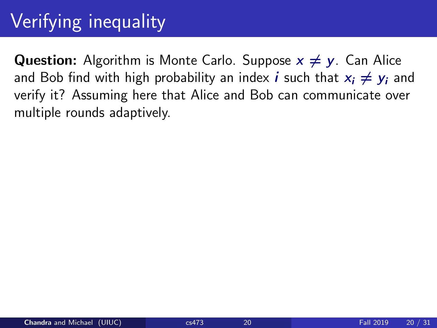## Verifying inequality

**Question:** Algorithm is Monte Carlo. Suppose  $x \neq y$ . Can Alice and Bob find with high probability an index *i* such that  $x_i \neq y_i$  and verify it? Assuming here that Alice and Bob can communicate over multiple rounds adaptively.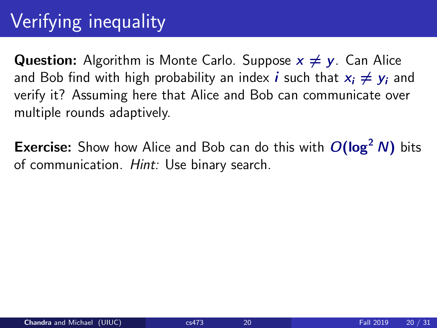## Verifying inequality

**Question:** Algorithm is Monte Carlo. Suppose  $x \neq y$ . Can Alice and Bob find with high probability an index *i* such that  $x_i \neq y_i$  and verify it? Assuming here that Alice and Bob can communicate over multiple rounds adaptively.

**Exercise:** Show how Alice and Bob can do this with  $O(log<sup>2</sup> N)$  bits of communication. Hint: Use binary search.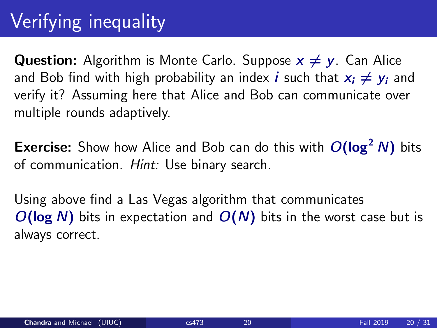## Verifying inequality

**Question:** Algorithm is Monte Carlo. Suppose  $x \neq y$ . Can Alice and Bob find with high probability an index *i* such that  $x_i \neq y_i$  and verify it? Assuming here that Alice and Bob can communicate over multiple rounds adaptively.

**Exercise:** Show how Alice and Bob can do this with  $O(log<sup>2</sup> N)$  bits of communication. Hint: Use binary search.

Using above find a Las Vegas algorithm that communicates  $O(\log N)$  bits in expectation and  $O(N)$  bits in the worst case but is always correct.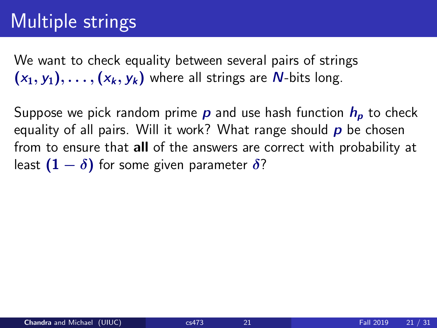### Multiple strings

We want to check equality between several pairs of strings  $(x_1, y_1), \ldots, (x_k, y_k)$  where all strings are N-bits long.

Suppose we pick random prime  $p$  and use hash function  $h_p$  to check equality of all pairs. Will it work? What range should  $p$  be chosen from to ensure that all of the answers are correct with probability at least  $(1 - \delta)$  for some given parameter  $\delta$ ?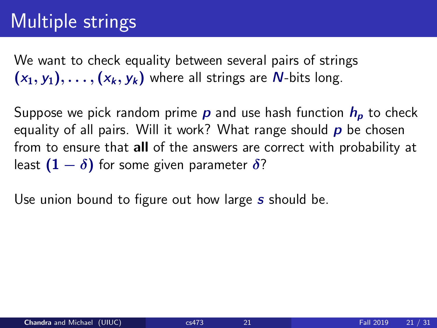### Multiple strings

We want to check equality between several pairs of strings  $(x_1, y_1), \ldots, (x_k, y_k)$  where all strings are N-bits long.

Suppose we pick random prime  $p$  and use hash function  $h_p$  to check equality of all pairs. Will it work? What range should  $p$  be chosen from to ensure that all of the answers are correct with probability at least  $(1 - \delta)$  for some given parameter  $\delta$ ?

Use union bound to figure out how large s should be.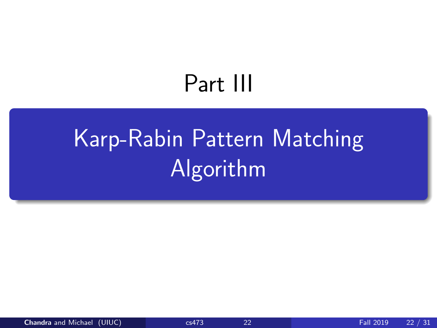# Part III

# <span id="page-62-0"></span>[Karp-Rabin Pattern Matching](#page-62-0) [Algorithm](#page-62-0)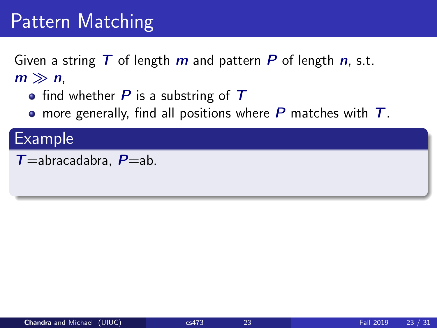Given a string  $T$  of length  $m$  and pattern  $P$  of length  $n$ , s.t.  $m \gg n$ ,

- find whether  $P$  is a substring of  $T$
- more generally, find all positions where  $P$  matches with  $T$ .

### Example

```
T=abracadabra, P=ab.
```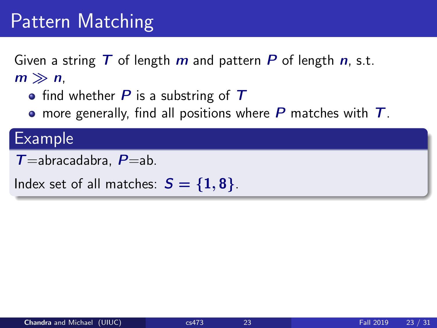Given a string  $T$  of length  $m$  and pattern  $P$  of length  $n$ , s.t.  $m \gg n$ ,

- find whether  $P$  is a substring of  $T$
- more generally, find all positions where  $P$  matches with  $T$ .

#### Example

```
T=abracadabra, P=ab.
```
Index set of all matches:  $S = \{1, 8\}$ .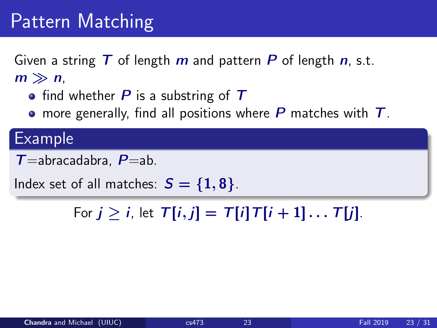Given a string  $T$  of length  $m$  and pattern  $P$  of length  $n$ , s.t.  $m \gg n$ ,

- find whether  $P$  is a substring of  $T$
- more generally, find all positions where  $P$  matches with  $T$ .

#### Example

```
T=abracadabra, P=ab.
```
Index set of all matches:  $S = \{1, 8\}$ .

For  $j > i$ , let  $T[i, j] = T[i]T[i + 1] \dots T[i]$ .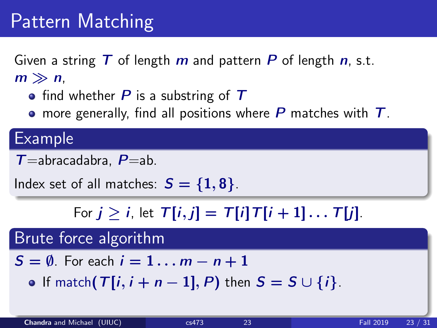Given a string  $T$  of length  $m$  and pattern  $P$  of length  $n$ , s.t.  $m \gg n$ ,

- find whether  $P$  is a substring of  $T$
- more generally, find all positions where  $P$  matches with  $T$ .

#### Example

 $T=$ abracadabra,  $P=$ ab.

Index set of all matches:  $S = \{1, 8\}$ .

For  $j > i$ , let  $T[i, j] = T[i]T[i + 1] \dots T[i]$ .

### Brute force algorithm

- $S = \emptyset$ . For each  $i = 1 \ldots m n + 1$ 
	- If match( $T[i, i + n 1]$ , P) then  $S = S \cup \{i\}$ .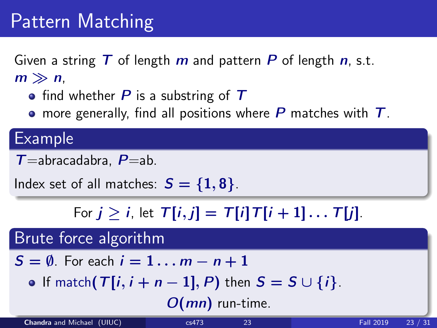Given a string  $T$  of length  $m$  and pattern  $P$  of length  $n$ , s.t.  $m \gg n$ ,

- find whether  $P$  is a substring of  $T$
- more generally, find all positions where  $P$  matches with  $T$ .

#### Example

 $T=$ abracadabra,  $P=$ ab.

Index set of all matches:  $S = \{1, 8\}$ .

For  $j > i$ , let  $T[i, j] = T[i]T[i + 1] \dots T[i]$ .

### Brute force algorithm

- $S = \emptyset$ . For each  $i = 1 \ldots m n + 1$ 
	- If match( $T[i, i + n 1]$ , P) then  $S = S \cup \{i\}$ .

 $O(mn)$  run-time.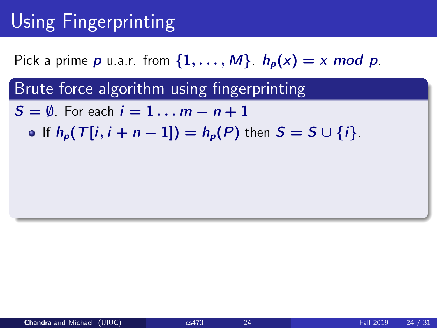## Using Fingerprinting

Pick a prime p u.a.r. from  $\{1, \ldots, M\}$ .  $h_p(x) = x \mod p$ .

Brute force algorithm using fingerprinting

 $S = \emptyset$ . For each  $i = 1 \dots m - n + 1$ 

• If  $h_n(T[i, i + n - 1]) = h_n(P)$  then  $S = S \cup \{i\}$ .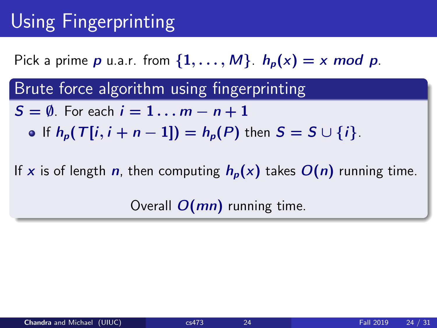## Using Fingerprinting

Pick a prime p u.a.r. from  $\{1, \ldots, M\}$ .  $h_p(x) = x \mod p$ .

Brute force algorithm using fingerprinting

- $S = \emptyset$ . For each  $i = 1 \dots m n + 1$ 
	- If  $h_p(T[i, i + n 1]) = h_p(P)$  then  $S = S \cup \{i\}$ .

If x is of length n, then computing  $h_p(x)$  takes  $O(n)$  running time.

Overall  $O(mn)$  running time.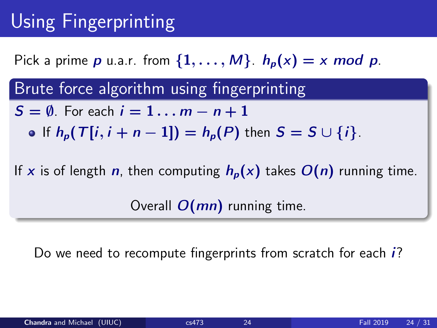## Using Fingerprinting

Pick a prime p u.a.r. from  $\{1, \ldots, M\}$ .  $h_p(x) = x \mod p$ .

Brute force algorithm using fingerprinting

- $S = \emptyset$ . For each  $i = 1 \dots m n + 1$ 
	- If  $h_p(T[i, i + n 1]) = h_p(P)$  then  $S = S \cup \{i\}$ .

If x is of length n, then computing  $h_p(x)$  takes  $O(n)$  running time.

Overall  $O(mn)$  running time.

Do we need to recompute fingerprints from scratch for each *i*?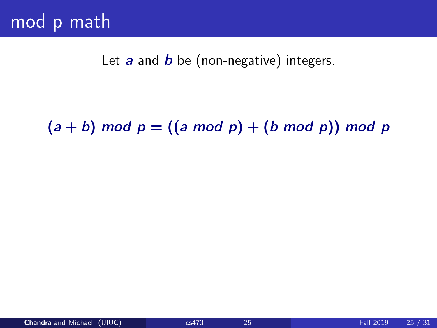Let  $a$  and  $b$  be (non-negative) integers.

 $(a + b)$  mod  $p = ((a \mod p) + (b \mod p))$  mod p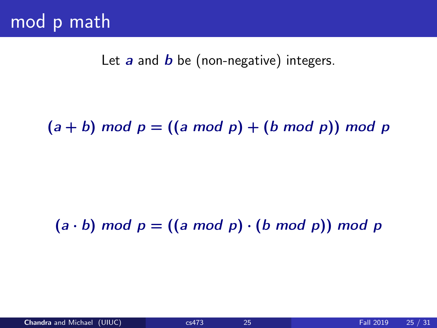Let  $a$  and  $b$  be (non-negative) integers.

 $(a + b)$  mod  $p = ((a \mod p) + (b \mod p))$  mod p

### $(a \cdot b)$  mod  $p = ((a \mod p) \cdot (b \mod p))$  mod p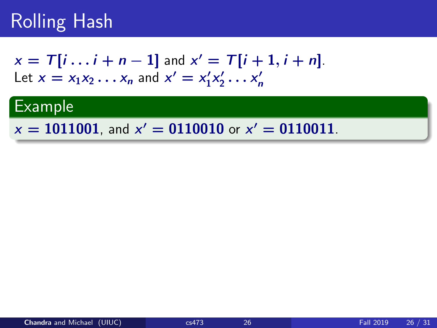$$
x = T[i \dots i + n - 1] \text{ and } x' = T[i + 1, i + n].
$$
  
Let  $x = x_1x_2 \dots x_n$  and  $x' = x'_1x'_2 \dots x'_n$ 

### Example

 $x = 1011001$ , and  $x' = 0110010$  or  $x' = 0110011$ .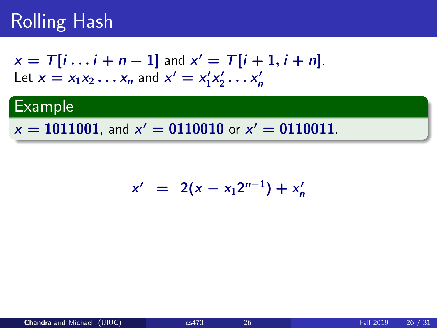$$
x = T[i \dots i + n - 1] \text{ and } x' = T[i + 1, i + n].
$$
  
Let  $x = x_1x_2 \dots x_n$  and  $x' = x'_1x'_2 \dots x'_n$ 

### Example

 $x = 1011001$ , and  $x' = 0110010$  or  $x' = 0110011$ .

$$
x' = 2(x - x_1 2^{n-1}) + x'_n
$$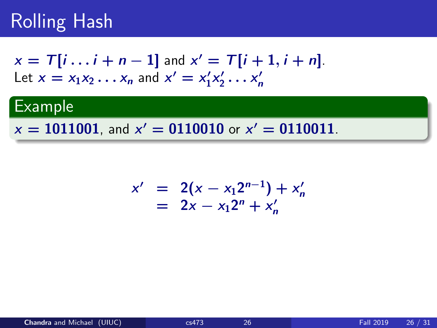$$
x = T[i \dots i + n - 1] \text{ and } x' = T[i + 1, i + n].
$$
  
Let  $x = x_1x_2 \dots x_n$  and  $x' = x'_1x'_2 \dots x'_n$ 

### Example

 $x = 1011001$ , and  $x' = 0110010$  or  $x' = 0110011$ .

$$
x' = 2(x - x_1 2^{n-1}) + x'_n
$$
  
= 2x - x\_1 2^n + x'\_n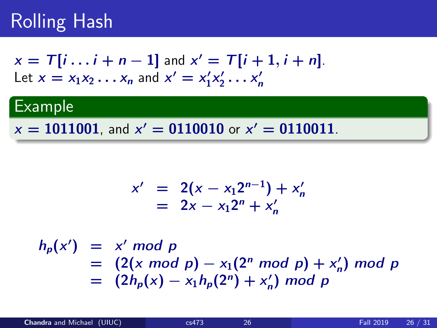$$
x = T[i \dots i + n - 1] \text{ and } x' = T[i + 1, i + n].
$$
  
Let  $x = x_1x_2 \dots x_n$  and  $x' = x'_1x'_2 \dots x'_n$ 

#### **Example**

 $x = 1011001$ , and  $x' = 0110010$  or  $x' = 0110011$ .

$$
x' = 2(x - x_1 2^{n-1}) + x'_n
$$
  
= 2x - x\_1 2^n + x'\_n

 $h_p(x') = x' \mod p$  $= (2(x \mod p) - x_1(2^n \mod p) + x'_n)$ n ) mod p  $= (2h_p(x) - x_1h_p(2^n) + x'_p)$ n ) mod p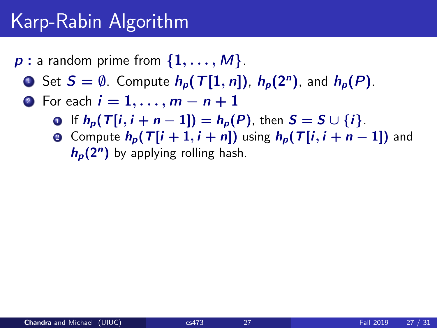- $p:$  a random prime from  $\{1, \ldots, M\}$ .
	- **1** Set  $S = \emptyset$ . Compute  $h_p(T[1, n])$ ,  $h_p(2^n)$ , and  $h_p(P)$ .
	- **2** For each  $i = 1, \ldots, m n + 1$ 
		- If  $h_p(T[i, i + n 1]) = h_p(P)$ , then  $S = S \cup \{i\}$ .
		- **2** Compute  $h_n(T[i+1, i+n])$  using  $h_n(T[i, i+n-1])$  and  $h_p(2^n)$  by applying rolling hash.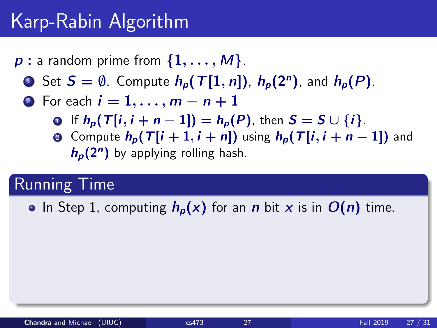- $p:$  a random prime from  $\{1,\ldots,M\}$ .
	- **1** Set  $S = \emptyset$ . Compute  $h_p(T[1, n])$ ,  $h_p(2^n)$ , and  $h_p(P)$ .
	- 2 For each  $i = 1, ..., m n + 1$ 
		- **0** If  $h_p(T[i, i + n 1]) = h_p(P)$ , then  $S = S \cup \{i\}$ .
		- **2** Compute  $h_n(T[i+1, i+n])$  using  $h_n(T[i, i+n-1])$  and  $h_p(2^n)$  by applying rolling hash.

#### Running Time

• In Step 1, computing  $h_p(x)$  for an n bit x is in  $O(n)$  time.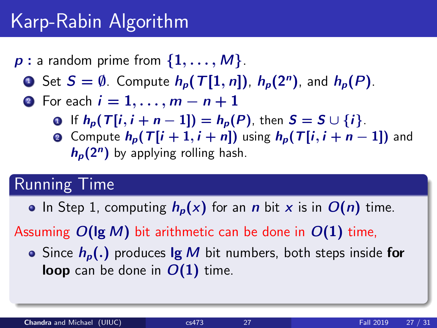- $p:$  a random prime from  $\{1, \ldots, M\}$ .
	- **1** Set  $S = \emptyset$ . Compute  $h_p(T[1, n])$ ,  $h_p(2^n)$ , and  $h_p(P)$ .
	- 2 For each  $i = 1, ..., m n + 1$ 
		- If  $h_p(T[i, i + n 1]) = h_p(P)$ , then  $S = S \cup \{i\}$ .
		- **2** Compute  $h_n(T[i+1, i+n])$  using  $h_n(T[i, i+n-1])$  and  $h_p(2^n)$  by applying rolling hash.

#### Running Time

• In Step 1, computing  $h_p(x)$  for an n bit x is in  $O(n)$  time.

Assuming  $O(\lg M)$  bit arithmetic can be done in  $O(1)$  time,

• Since  $h_n(.)$  produces  $\lg M$  bit numbers, both steps inside for **loop** can be done in  $O(1)$  time.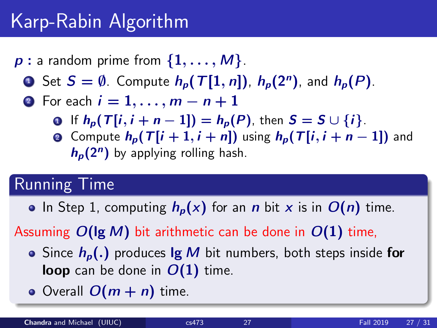- $p:$  a random prime from  $\{1, \ldots, M\}$ .
	- **1** Set  $S = \emptyset$ . Compute  $h_p(T[1, n])$ ,  $h_p(2^n)$ , and  $h_p(P)$ .
	- 2 For each  $i = 1, ..., m n + 1$ 
		- If  $h_p(T[i, i + n 1]) = h_p(P)$ , then  $S = S \cup \{i\}$ .
		- **Q** Compute  $h_p(T[i+1, i+n])$  using  $h_p(T[i, i+n-1])$  and  $h_p(2^n)$  by applying rolling hash.

### Running Time

• In Step 1, computing  $h_p(x)$  for an n bit x is in  $O(n)$  time.

Assuming  $O(\lg M)$  bit arithmetic can be done in  $O(1)$  time,

- Since  $h_n(.)$  produces  $\lg M$  bit numbers, both steps inside for loop can be done in  $O(1)$  time.
- Overall  $O(m + n)$  time.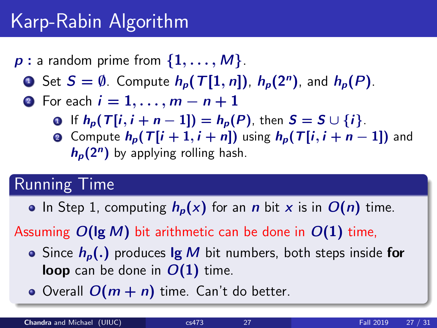- $p:$  a random prime from  $\{1, \ldots, M\}$ .
	- **1** Set  $S = \emptyset$ . Compute  $h_p(T[1, n])$ ,  $h_p(2^n)$ , and  $h_p(P)$ .
	- 2 For each  $i = 1, ..., m n + 1$ 
		- If  $h_o(T[i, i + n 1]) = h_o(P)$ , then  $S = S \cup \{i\}$ .
		- **Q** Compute  $h_p(T[i+1, i+n])$  using  $h_p(T[i, i+n-1])$  and  $h_p(2^n)$  by applying rolling hash.

### Running Time

• In Step 1, computing  $h_p(x)$  for an n bit x is in  $O(n)$  time.

Assuming  $O(\lg M)$  bit arithmetic can be done in  $O(1)$  time,

- Since  $h_n(.)$  produces  $\lg M$  bit numbers, both steps inside for **loop** can be done in  $O(1)$  time.
- Overall  $O(m + n)$  time. Can't do better.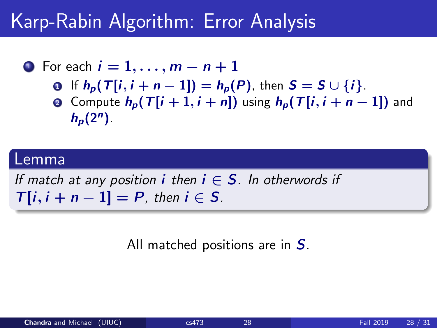• For each 
$$
i = 1, \ldots, m - n + 1
$$

- **0** If  $h_n(T[i, i + n 1]) = h_n(P)$ , then  $S = S \cup \{i\}$ .
- **Q** Compute  $h_n(T[i+1, i+n])$  using  $h_n(T[i, i+n-1])$  and  $h_p(2^n)$ .

#### Lemma

If match at any position *i* then  $i \in S$ . In otherwords if  $T[i, i + n - 1] = P$ , then  $i \in S$ .

All matched positions are in S.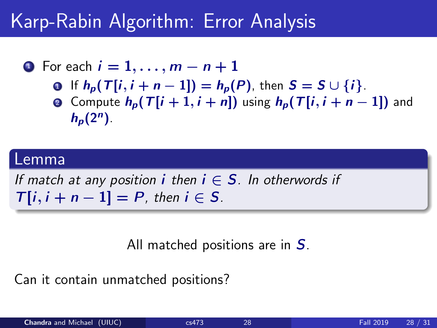• For each 
$$
i = 1, \ldots, m - n + 1
$$

- **0** If  $h_n(T[i, i + n 1]) = h_n(P)$ , then  $S = S \cup \{i\}$ .
- **Q** Compute  $h_n(T[i+1, i+n])$  using  $h_n(T[i, i+n-1])$  and  $h_p(2^n)$ .

#### Lemma

If match at any position *i* then  $i \in S$ . In otherwords if  $T[i, i + n - 1] = P$ , then  $i \in S$ .

All matched positions are in S.

Can it contain unmatched positions?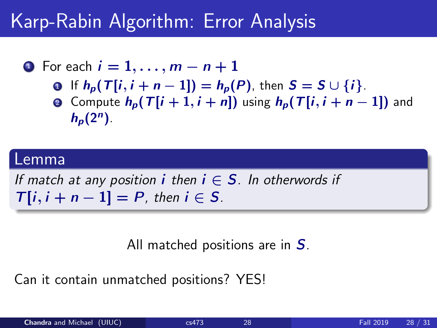• For each 
$$
i = 1, \ldots, m - n + 1
$$

- **0** If  $h_n(T[i, i + n 1]) = h_n(P)$ , then  $S = S \cup \{i\}$ .
- **Q** Compute  $h_n(T[i+1, i+n])$  using  $h_n(T[i, i+n-1])$  and  $h_p(2^n)$ .

#### Lemma

If match at any position *i* then  $i \in S$ . In otherwords if  $T[i, i + n - 1] = P$ , then  $i \in S$ .

All matched positions are in S.

Can it contain unmatched positions? YES!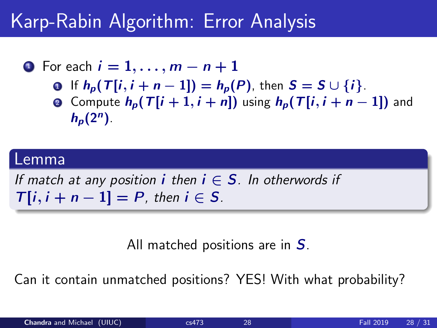• For each 
$$
i = 1, \ldots, m - n + 1
$$

- **0** If  $h_n(T[i, i + n 1]) = h_n(P)$ , then  $S = S \cup \{i\}$ .
- **Q** Compute  $h_n(T[i+1, i+n])$  using  $h_n(T[i, i+n-1])$  and  $h_p(2^n)$ .

#### Lemma

If match at any position *i* then  $i \in S$ . In otherwords if  $T[i, i + n - 1] = P$ , then  $i \in S$ .

All matched positions are in S.

Can it contain unmatched positions? YES! With what probability?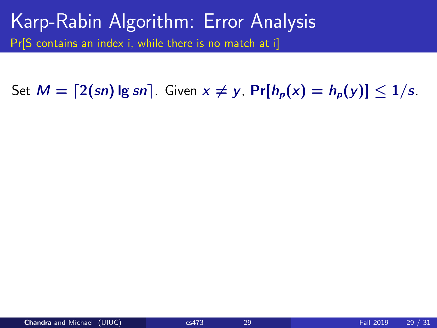Set  $M = \lfloor 2(\text{sn}) \lg \text{sn} \rfloor$ . Given  $x \neq y$ ,  $\Pr[h_n(x) = h_n(y)] \leq 1/s$ .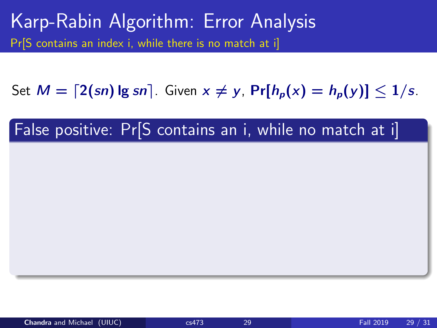Set  $M = \lfloor 2(\text{sn}) \lg \text{sn} \rfloor$ . Given  $x \neq y$ ,  $\Pr[h_n(x) = h_n(y)] \leq 1/s$ .

### False positive: Pr<sup>[S</sup> contains an i, while no match at i]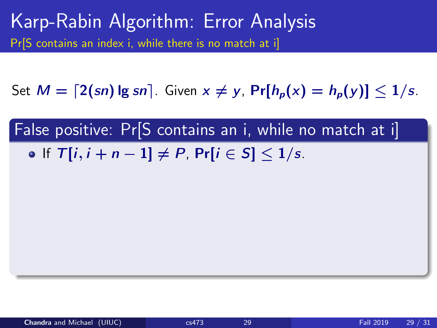Set  $M = \lfloor 2(\text{sn}) \lg \text{sn} \rfloor$ . Given  $x \neq y$ ,  $\Pr[h_n(x) = h_n(y)] \leq 1/s$ .

False positive: Pr[S contains an i, while no match at i] • If  $T[i, i + n - 1] \neq P$ ,  $Pr[i \in S] \leq 1/s$ .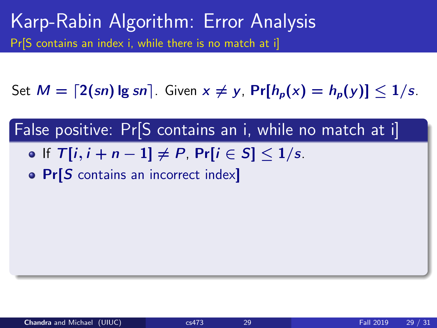Set  $M = \lfloor 2(\text{sn}) \lg \text{sn} \rfloor$ . Given  $x \neq y$ ,  $\Pr[h_n(x) = h_n(y)] \leq 1/s$ .

False positive: Pr[S contains an i, while no match at i] • If  $T[i, i + n - 1]$   $\neq$  P, Pr[ $i \in S$ ]  $\leq 1/s$ .

• Pr[S contains an incorrect index]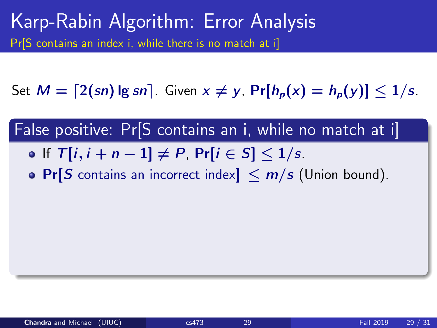Set  $M = \lfloor 2(\text{sn}) \lg \text{sn} \rfloor$ . Given  $x \neq y$ ,  $\Pr[h_n(x) = h_n(y)] \leq 1/s$ .

False positive: Pr[S contains an i, while no match at i]

- If  $T[i, i + n 1] \neq P$ ,  $Pr[i \in S] \leq 1/s$ .
- Pr[S contains an incorrect index]  $\leq m/s$  (Union bound).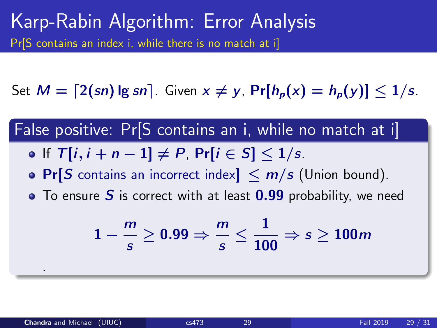Set  $M = \lfloor 2(\text{sn}) \lg \text{sn} \rfloor$ . Given  $x \neq y$ ,  $\Pr[h_n(x) = h_n(y)] \leq 1/s$ .

False positive: Pr[S contains an i, while no match at i]

- If  $T[i, i + n 1] \neq P$ ,  $Pr[i \in S] \leq 1/s$ .
- Pr[S contains an incorrect index]  $\leq m/s$  (Union bound).
- $\bullet$  To ensure S is correct with at least  $0.99$  probability, we need

$$
1-\frac{m}{s}\geq 0.99 \Rightarrow \frac{m}{s}\leq \frac{1}{100} \Rightarrow s\geq 100m
$$

.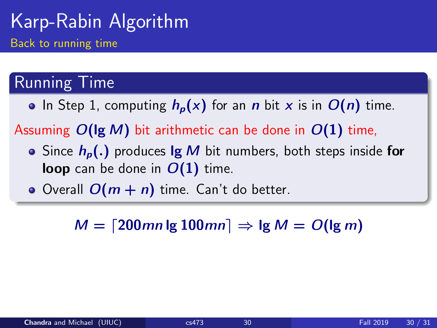#### Running Time

• In Step 1, computing  $h_p(x)$  for an n bit x is in  $O(n)$  time.

Assuming  $O(\lg M)$  bit arithmetic can be done in  $O(1)$  time,

- Since  $h_p(.)$  produces  $\lg M$  bit numbers, both steps inside for **loop** can be done in  $O(1)$  time.
- Overall  $O(m + n)$  time. Can't do better.

 $M = \lfloor 200mn \lg 100mn \rfloor \Rightarrow \lg M = O(\lg m)$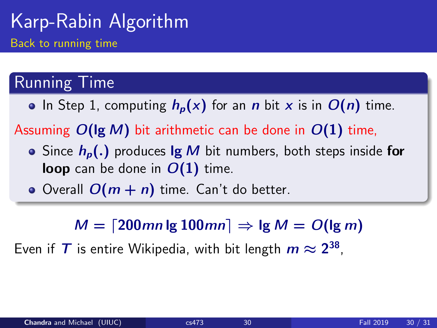#### Running Time

• In Step 1, computing  $h_p(x)$  for an n bit x is in  $O(n)$  time.

Assuming  $O(\lg M)$  bit arithmetic can be done in  $O(1)$  time,

- Since  $h_n(.)$  produces  $\lg M$  bit numbers, both steps inside for **loop** can be done in  $O(1)$  time.
- Overall  $O(m + n)$  time. Can't do better.

 $M = \lceil 200mn \lg 100mn \rceil \Rightarrow \lg M = O(\lg m)$ 

Even if  $\mathcal T$  is entire Wikipedia, with bit length  $m\approx 2^{38}$ ,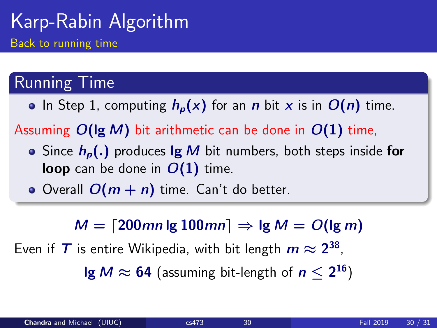#### Running Time

• In Step 1, computing  $h_p(x)$  for an n bit x is in  $O(n)$  time.

Assuming  $O(\lg M)$  bit arithmetic can be done in  $O(1)$  time,

- Since  $h_n(.)$  produces  $\lg M$  bit numbers, both steps inside for **loop** can be done in  $O(1)$  time.
- Overall  $O(m + n)$  time. Can't do better.

 $M = \lceil 200mn \lg 100mn \rceil \Rightarrow \lg M = O(\lg m)$ 

Even if  $\mathcal T$  is entire Wikipedia, with bit length  $m\approx 2^{38}$ ,

 $\lg M \approx 64$  (assuming bit-length of  $n \leq 2^{16}$ )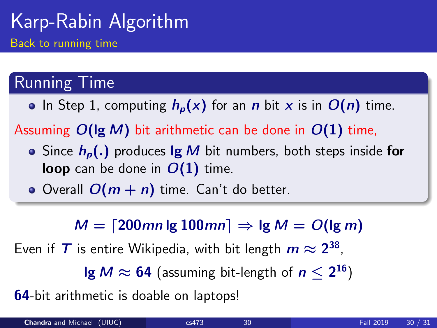#### Running Time

• In Step 1, computing  $h_p(x)$  for an n bit x is in  $O(n)$  time.

Assuming  $O(\lg M)$  bit arithmetic can be done in  $O(1)$  time,

- Since  $h_n(.)$  produces  $\lg M$  bit numbers, both steps inside for **loop** can be done in  $O(1)$  time.
- Overall  $O(m + n)$  time. Can't do better.

 $M = \lceil 200mn \lg 100mn \rceil \Rightarrow \lg M = O(\lg m)$ 

Even if  $\mathcal T$  is entire Wikipedia, with bit length  $m\approx 2^{38}$ ,

 $\lg M \approx 64$  (assuming bit-length of  $n \leq 2^{16}$ )

**64-bit arithmetic is doable on laptops!**